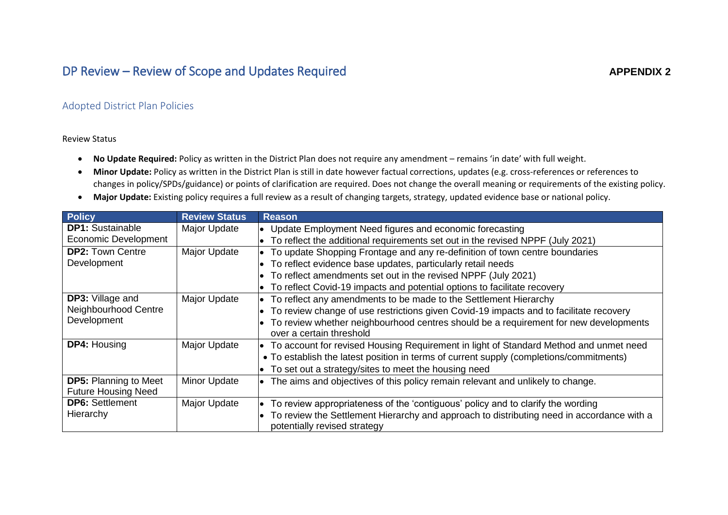## DP Review – Review of Scope and Updates Required

## Adopted District Plan Policies

Review Status

- **No Update Required:** Policy as written in the District Plan does not require any amendment remains 'in date' with full weight.
- **Minor Update:** Policy as written in the District Plan is still in date however factual corrections, updates (e.g. cross-references or references to changes in policy/SPDs/guidance) or points of clarification are required. Does not change the overall meaning or requirements of the existing policy.
- **Major Update:** Existing policy requires a full review as a result of changing targets, strategy, updated evidence base or national policy.

| <b>Policy</b>                | <b>Review Status</b> | <b>Reason</b>                                                                             |  |
|------------------------------|----------------------|-------------------------------------------------------------------------------------------|--|
| <b>DP1:</b> Sustainable      | Major Update         | • Update Employment Need figures and economic forecasting                                 |  |
| <b>Economic Development</b>  |                      | To reflect the additional requirements set out in the revised NPPF (July 2021)            |  |
| <b>DP2: Town Centre</b>      | Major Update         | To update Shopping Frontage and any re-definition of town centre boundaries               |  |
| Development                  |                      | To reflect evidence base updates, particularly retail needs                               |  |
|                              |                      | To reflect amendments set out in the revised NPPF (July 2021)                             |  |
|                              |                      | To reflect Covid-19 impacts and potential options to facilitate recovery                  |  |
| <b>DP3:</b> Village and      | Major Update         | To reflect any amendments to be made to the Settlement Hierarchy                          |  |
| Neighbourhood Centre         |                      | To review change of use restrictions given Covid-19 impacts and to facilitate recovery    |  |
| Development                  |                      | To review whether neighbourhood centres should be a requirement for new developments      |  |
|                              |                      | over a certain threshold                                                                  |  |
| <b>DP4: Housing</b>          | Major Update         | • To account for revised Housing Requirement in light of Standard Method and unmet need   |  |
|                              |                      | • To establish the latest position in terms of current supply (completions/commitments)   |  |
|                              |                      | To set out a strategy/sites to meet the housing need                                      |  |
| <b>DP5: Planning to Meet</b> | Minor Update         | The aims and objectives of this policy remain relevant and unlikely to change.            |  |
| <b>Future Housing Need</b>   |                      |                                                                                           |  |
| <b>DP6: Settlement</b>       | Major Update         | To review appropriateness of the 'contiguous' policy and to clarify the wording           |  |
| Hierarchy                    |                      | To review the Settlement Hierarchy and approach to distributing need in accordance with a |  |
|                              |                      | potentially revised strategy                                                              |  |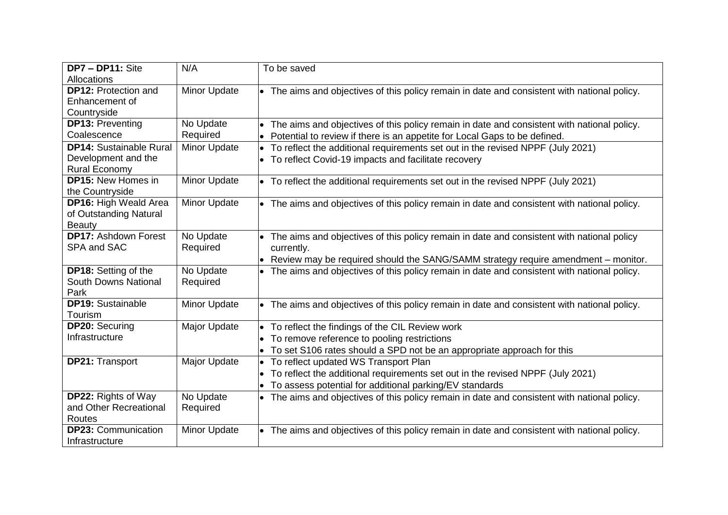| DP7 - DP11: Site               | N/A          | To be saved                                                                                  |
|--------------------------------|--------------|----------------------------------------------------------------------------------------------|
| Allocations                    |              |                                                                                              |
| <b>DP12: Protection and</b>    | Minor Update | • The aims and objectives of this policy remain in date and consistent with national policy. |
| Enhancement of                 |              |                                                                                              |
| Countryside                    |              |                                                                                              |
| <b>DP13: Preventing</b>        | No Update    | The aims and objectives of this policy remain in date and consistent with national policy.   |
| Coalescence                    | Required     | Potential to review if there is an appetite for Local Gaps to be defined.<br>$\bullet$       |
| <b>DP14: Sustainable Rural</b> | Minor Update | • To reflect the additional requirements set out in the revised NPPF (July 2021)             |
| Development and the            |              | • To reflect Covid-19 impacts and facilitate recovery                                        |
| <b>Rural Economy</b>           |              |                                                                                              |
| <b>DP15: New Homes in</b>      | Minor Update | • To reflect the additional requirements set out in the revised NPPF (July 2021)             |
| the Countryside                |              |                                                                                              |
| DP16: High Weald Area          | Minor Update | • The aims and objectives of this policy remain in date and consistent with national policy. |
| of Outstanding Natural         |              |                                                                                              |
| <b>Beauty</b>                  |              |                                                                                              |
| <b>DP17: Ashdown Forest</b>    | No Update    | The aims and objectives of this policy remain in date and consistent with national policy    |
| SPA and SAC                    | Required     | currently.                                                                                   |
|                                |              | • Review may be required should the SANG/SAMM strategy require amendment - monitor.          |
| <b>DP18:</b> Setting of the    | No Update    | • The aims and objectives of this policy remain in date and consistent with national policy. |
| South Downs National           | Required     |                                                                                              |
| Park                           |              |                                                                                              |
| <b>DP19: Sustainable</b>       | Minor Update | • The aims and objectives of this policy remain in date and consistent with national policy. |
| Tourism                        |              |                                                                                              |
| <b>DP20: Securing</b>          | Major Update | • To reflect the findings of the CIL Review work                                             |
| Infrastructure                 |              | • To remove reference to pooling restrictions                                                |
|                                |              | • To set S106 rates should a SPD not be an appropriate approach for this                     |
| <b>DP21: Transport</b>         | Major Update | • To reflect updated WS Transport Plan                                                       |
|                                |              | • To reflect the additional requirements set out in the revised NPPF (July 2021)             |
|                                |              | To assess potential for additional parking/EV standards                                      |
| <b>DP22: Rights of Way</b>     | No Update    | • The aims and objectives of this policy remain in date and consistent with national policy. |
| and Other Recreational         | Required     |                                                                                              |
| Routes                         |              |                                                                                              |
| <b>DP23: Communication</b>     | Minor Update | • The aims and objectives of this policy remain in date and consistent with national policy. |
| Infrastructure                 |              |                                                                                              |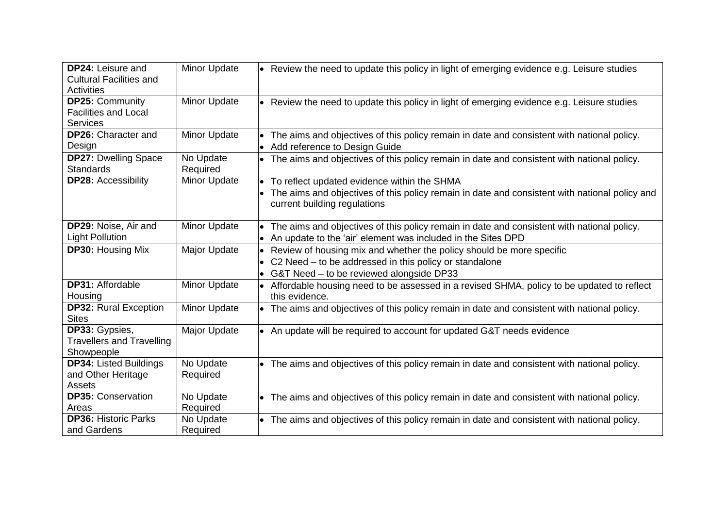| <b>DP24: Leisure and</b><br><b>Cultural Facilities and</b> | Minor Update          | $\bullet$ Review the need to update this policy in light of emerging evidence e.g. Leisure studies                            |
|------------------------------------------------------------|-----------------------|-------------------------------------------------------------------------------------------------------------------------------|
| <b>Activities</b>                                          |                       |                                                                                                                               |
| <b>DP25: Community</b>                                     | Minor Update          | Review the need to update this policy in light of emerging evidence e.g. Leisure studies                                      |
| <b>Facilities and Local</b>                                |                       |                                                                                                                               |
| <b>Services</b>                                            |                       |                                                                                                                               |
| <b>DP26:</b> Character and                                 | Minor Update          | The aims and objectives of this policy remain in date and consistent with national policy.                                    |
| Design                                                     |                       | Add reference to Design Guide                                                                                                 |
| <b>DP27: Dwelling Space</b><br><b>Standards</b>            | No Update<br>Required | $\bullet$ The aims and objectives of this policy remain in date and consistent with national policy.                          |
| <b>DP28: Accessibility</b>                                 | Minor Update          | To reflect updated evidence within the SHMA                                                                                   |
|                                                            |                       | The aims and objectives of this policy remain in date and consistent with national policy and<br>current building regulations |
| DP29: Noise, Air and                                       | Minor Update          | The aims and objectives of this policy remain in date and consistent with national policy.                                    |
| <b>Light Pollution</b>                                     |                       | An update to the 'air' element was included in the Sites DPD                                                                  |
| <b>DP30: Housing Mix</b>                                   | Major Update          | Review of housing mix and whether the policy should be more specific                                                          |
|                                                            |                       | C2 Need - to be addressed in this policy or standalone                                                                        |
|                                                            |                       | G&T Need - to be reviewed alongside DP33<br>$\bullet$                                                                         |
| <b>DP31: Affordable</b>                                    | Minor Update          | Affordable housing need to be assessed in a revised SHMA, policy to be updated to reflect                                     |
| Housing                                                    |                       | this evidence.                                                                                                                |
| <b>DP32: Rural Exception</b>                               | <b>Minor Update</b>   | $\bullet$ The aims and objectives of this policy remain in date and consistent with national policy.                          |
| <b>Sites</b>                                               |                       |                                                                                                                               |
| DP33: Gypsies,                                             | Major Update          | $\bullet$ An update will be required to account for updated G&T needs evidence                                                |
| <b>Travellers and Travelling</b><br>Showpeople             |                       |                                                                                                                               |
| <b>DP34: Listed Buildings</b>                              | No Update             | The aims and objectives of this policy remain in date and consistent with national policy.                                    |
| and Other Heritage                                         | Required              |                                                                                                                               |
| Assets                                                     |                       |                                                                                                                               |
| <b>DP35: Conservation</b>                                  | No Update             | The aims and objectives of this policy remain in date and consistent with national policy.                                    |
| Areas                                                      | Required              |                                                                                                                               |
| <b>DP36: Historic Parks</b>                                | No Update             | $\bullet$ The aims and objectives of this policy remain in date and consistent with national policy.                          |
| and Gardens                                                | Required              |                                                                                                                               |